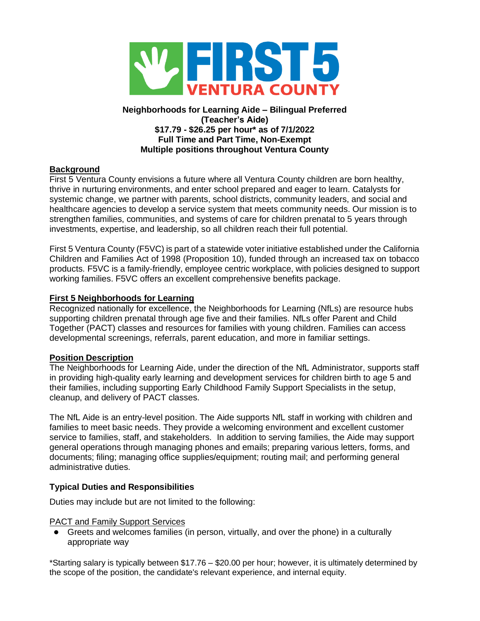

### **Neighborhoods for Learning Aide – Bilingual Preferred (Teacher's Aide) \$17.79 - \$26.25 per hour\* as of 7/1/2022 Full Time and Part Time, Non-Exempt Multiple positions throughout Ventura County**

## **Background**

First 5 Ventura County envisions a future where all Ventura County children are born healthy, thrive in nurturing environments, and enter school prepared and eager to learn. Catalysts for systemic change, we partner with parents, school districts, community leaders, and social and healthcare agencies to develop a service system that meets community needs. Our mission is to strengthen families, communities, and systems of care for children prenatal to 5 years through investments, expertise, and leadership, so all children reach their full potential.

First 5 Ventura County (F5VC) is part of a statewide voter initiative established under the California Children and Families Act of 1998 (Proposition 10), funded through an increased tax on tobacco products. F5VC is a family-friendly, employee centric workplace, with policies designed to support working families. F5VC offers an excellent comprehensive benefits package.

### **First 5 Neighborhoods for Learning**

Recognized nationally for excellence, the Neighborhoods for Learning (NfLs) are resource hubs supporting children prenatal through age five and their families. NfLs offer Parent and Child Together (PACT) classes and resources for families with young children. Families can access developmental screenings, referrals, parent education, and more in familiar settings.

### **Position Description**

The Neighborhoods for Learning Aide, under the direction of the NfL Administrator, supports staff in providing high-quality early learning and development services for children birth to age 5 and their families, including supporting Early Childhood Family Support Specialists in the setup, cleanup, and delivery of PACT classes.

The NfL Aide is an entry-level position. The Aide supports NfL staff in working with children and families to meet basic needs. They provide a welcoming environment and excellent customer service to families, staff, and stakeholders. In addition to serving families, the Aide may support general operations through managing phones and emails; preparing various letters, forms, and documents; filing; managing office supplies/equipment; routing mail; and performing general administrative duties.

### **Typical Duties and Responsibilities**

Duties may include but are not limited to the following:

### PACT and Family Support Services

● Greets and welcomes families (in person, virtually, and over the phone) in a culturally appropriate way

\*Starting salary is typically between \$17.76 – \$20.00 per hour; however, it is ultimately determined by the scope of the position, the candidate's relevant experience, and internal equity.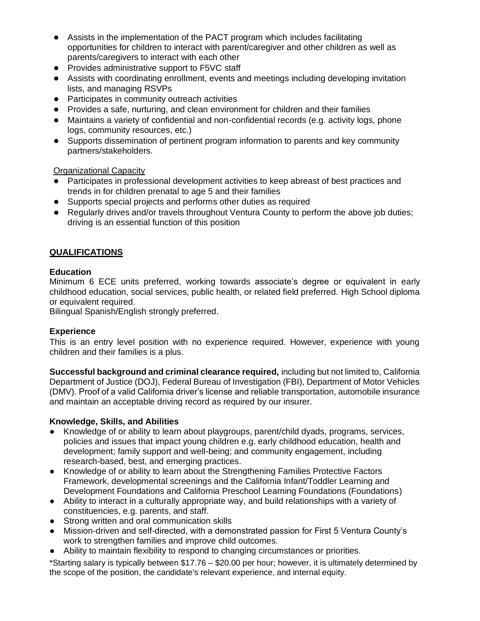- Assists in the implementation of the PACT program which includes facilitating opportunities for children to interact with parent/caregiver and other children as well as parents/caregivers to interact with each other
- Provides administrative support to F5VC staff
- Assists with coordinating enrollment, events and meetings including developing invitation lists, and managing RSVPs
- Participates in community outreach activities
- Provides a safe, nurturing, and clean environment for children and their families
- Maintains a variety of confidential and non-confidential records (e.g. activity logs, phone logs, community resources, etc.)
- Supports dissemination of pertinent program information to parents and key community partners/stakeholders.

Organizational Capacity

- Participates in professional development activities to keep abreast of best practices and trends in for children prenatal to age 5 and their families
- Supports special projects and performs other duties as required
- Regularly drives and/or travels throughout Ventura County to perform the above job duties; driving is an essential function of this position

# **QUALIFICATIONS**

## **Education**

Minimum 6 ECE units preferred, working towards associate's degree or equivalent in early childhood education, social services, public health, or related field preferred. High School diploma or equivalent required.

Bilingual Spanish/English strongly preferred.

# **Experience**

This is an entry level position with no experience required. However, experience with young children and their families is a plus.

**Successful background and criminal clearance required,** including but not limited to, California Department of Justice (DOJ), Federal Bureau of Investigation (FBI), Department of Motor Vehicles (DMV). Proof of a valid California driver's license and reliable transportation, automobile insurance and maintain an acceptable driving record as required by our insurer.

## **Knowledge, Skills, and Abilities**

- Knowledge of or ability to learn about playgroups, parent/child dyads, programs, services, policies and issues that impact young children e.g. early childhood education, health and development; family support and well-being; and community engagement, including research-based, best, and emerging practices.
- Knowledge of or ability to learn about the Strengthening Families Protective Factors Framework, developmental screenings and the California Infant/Toddler Learning and Development Foundations and California Preschool Learning Foundations (Foundations)
- Ability to interact in a culturally appropriate way, and build relationships with a variety of constituencies, e.g. parents, and staff.
- Strong written and oral communication skills
- Mission-driven and self-directed, with a demonstrated passion for First 5 Ventura County's work to strengthen families and improve child outcomes.
- Ability to maintain flexibility to respond to changing circumstances or priorities.

\*Starting salary is typically between \$17.76 – \$20.00 per hour; however, it is ultimately determined by the scope of the position, the candidate's relevant experience, and internal equity.